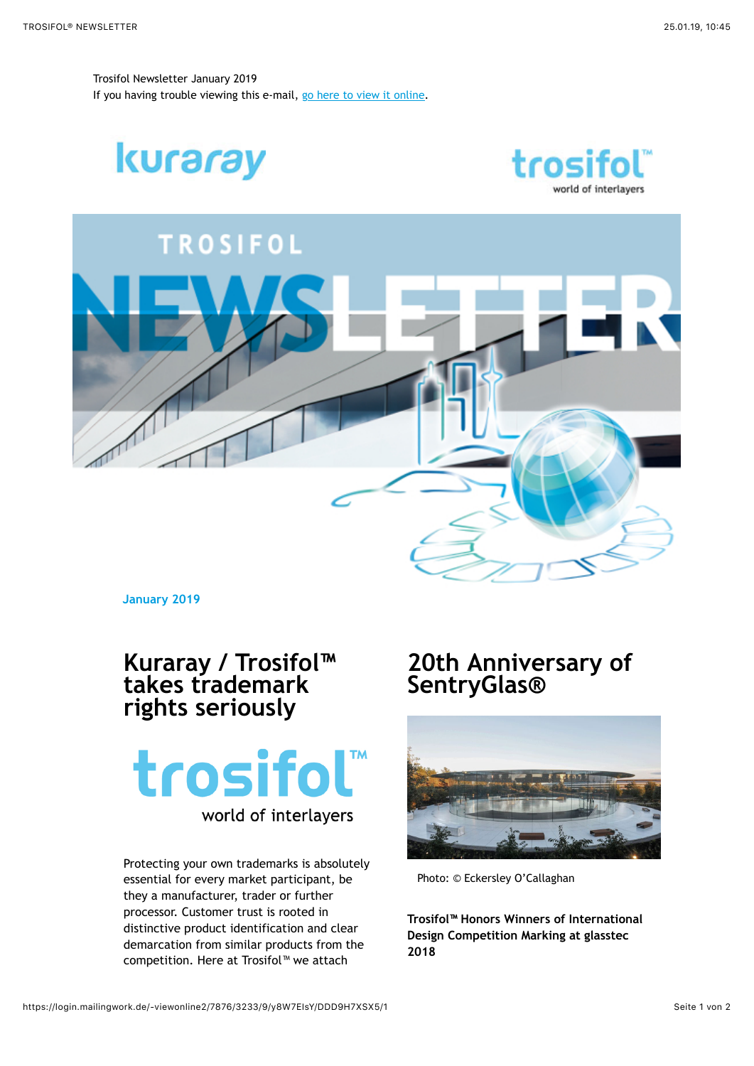Trosifol Newsletter January 2019 If you having trouble viewing this e-mail, [go here to view it online](https://login.mailingwork.de/-link2/7876/3233/1/27/9/y8W7EIsY/DDD9H7XSX5/0/OQ../eThXN0VJc1k./REREOUg3WFNYNQ../~).

kuraray





**January 2019**

## **Kuraray / Trosifol™ takes trademark rights seriously**

trosifol<sup>™</sup> world of interlayers

Protecting your own trademarks is absolutely essential for every market participant, be they a manufacturer, trader or further processor. Customer trust is rooted in distinctive product identification and clear demarcation from similar products from the competition. Here at Trosifol™ we attach

## **20th Anniversary of SentryGlas®**



Photo: © Eckersley O'Callaghan

**Trosifol™ Honors Winners of International Design Competition Marking at glasstec 2018**